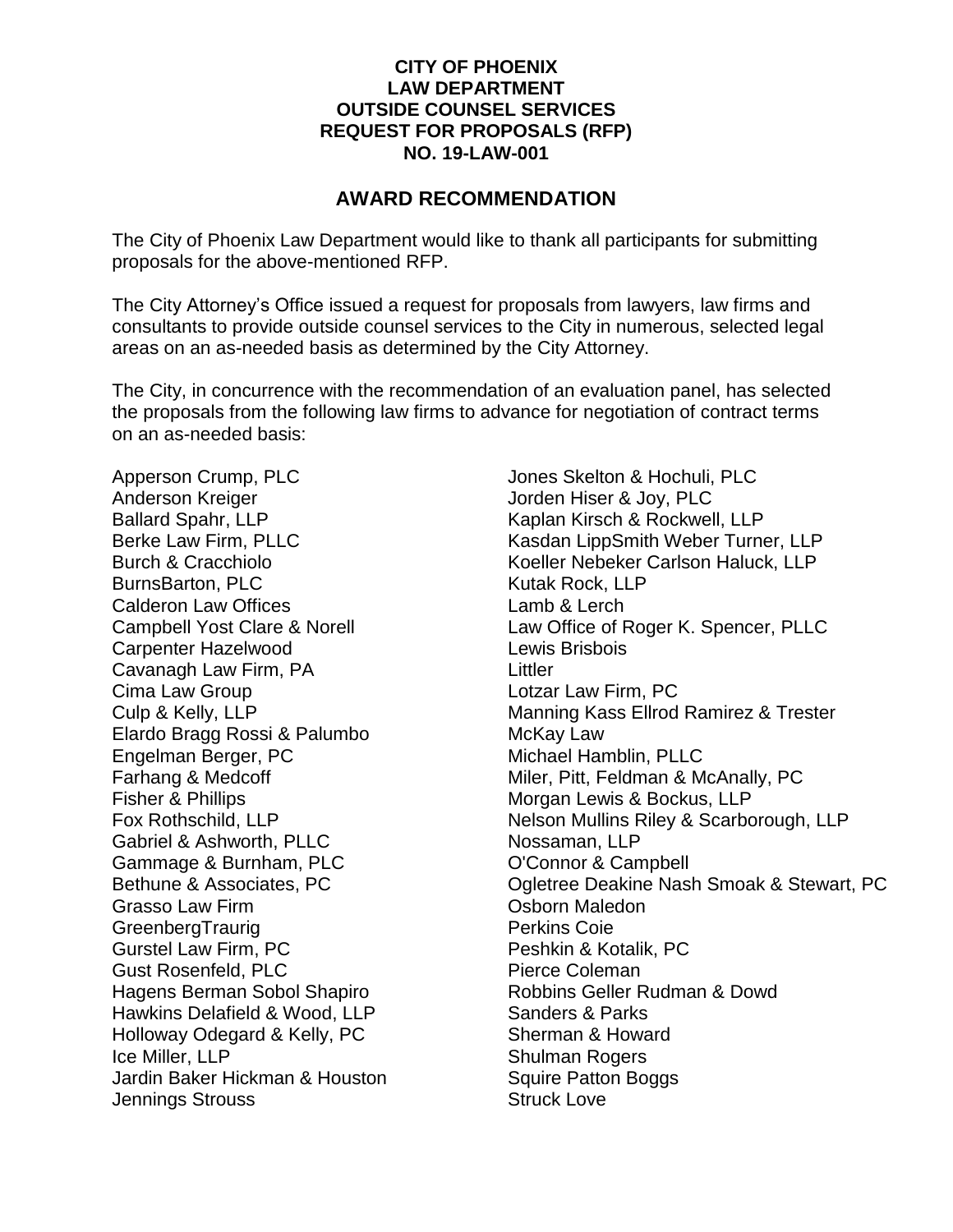## **CITY OF PHOENIX LAW DEPARTMENT OUTSIDE COUNSEL SERVICES REQUEST FOR PROPOSALS (RFP) NO. 19-LAW-001**

## **AWARD RECOMMENDATION**

The City of Phoenix Law Department would like to thank all participants for submitting proposals for the above-mentioned RFP.

The City Attorney's Office issued a request for proposals from lawyers, law firms and consultants to provide outside counsel services to the City in numerous, selected legal areas on an as-needed basis as determined by the City Attorney.

The City, in concurrence with the recommendation of an evaluation panel, has selected the proposals from the following law firms to advance for negotiation of contract terms on an as-needed basis:

Apperson Crump, PLC Anderson Kreiger Ballard Spahr, LLP Berke Law Firm, PLLC Burch & Cracchiolo BurnsBarton, PLC Calderon Law Offices Campbell Yost Clare & Norell Carpenter Hazelwood Cavanagh Law Firm, PA Cima Law Group Culp & Kelly, LLP Elardo Bragg Rossi & Palumbo Engelman Berger, PC Farhang & Medcoff Fisher & Phillips Fox Rothschild, LLP Gabriel & Ashworth, PLLC Gammage & Burnham, PLC Bethune & Associates, PC Grasso Law Firm **GreenbergTraurig** Gurstel Law Firm, PC Gust Rosenfeld, PLC Hagens Berman Sobol Shapiro Hawkins Delafield & Wood, LLP Holloway Odegard & Kelly, PC Ice Miller, LLP Jardin Baker Hickman & Houston Jennings Strouss

Jones Skelton & Hochuli, PLC Jorden Hiser & Joy, PLC Kaplan Kirsch & Rockwell, LLP Kasdan LippSmith Weber Turner, LLP Koeller Nebeker Carlson Haluck, LLP Kutak Rock, LLP Lamb & Lerch Law Office of Roger K. Spencer, PLLC Lewis Brisbois **Littler** Lotzar Law Firm, PC Manning Kass Ellrod Ramirez & Trester McKay Law Michael Hamblin, PLLC Miler, Pitt, Feldman & McAnally, PC Morgan Lewis & Bockus, LLP Nelson Mullins Riley & Scarborough, LLP Nossaman, LLP O'Connor & Campbell Ogletree Deakine Nash Smoak & Stewart, PC Osborn Maledon Perkins Coie Peshkin & Kotalik, PC Pierce Coleman Robbins Geller Rudman & Dowd Sanders & Parks Sherman & Howard Shulman Rogers Squire Patton Boggs Struck Love